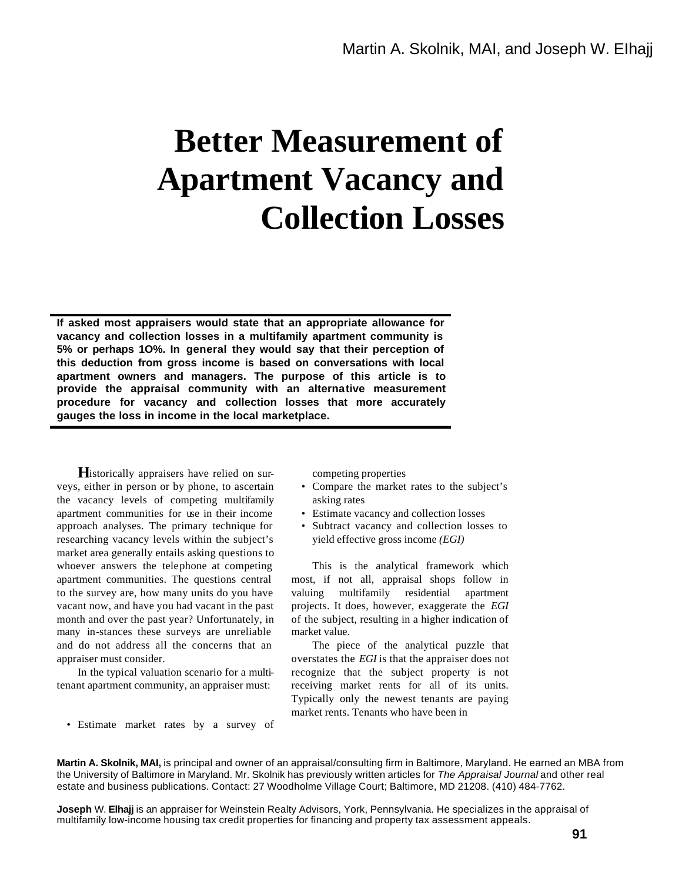## **Better Measurement of Apartment Vacancy and Collection Losses**

**If asked most appraisers would state that an appropriate allowance for vacancy and collection losses in a multifamily apartment community is 5% or perhaps 1O%. In general they would say that their perception of this deduction from gross income is based on conversations with local apartment owners and managers. The purpose of this article is to provide the appraisal community with an alternative measurement procedure for vacancy and collection losses that more accurately gauges the loss in income in the local marketplace.**

Historically appraisers have relied on surveys, either in person or by phone, to ascertain the vacancy levels of competing multifamily apartment communities for use in their income approach analyses. The primary technique for researching vacancy levels within the subject's market area generally entails asking questions to whoever answers the telephone at competing apartment communities. The questions central to the survey are, how many units do you have vacant now, and have you had vacant in the past month and over the past year? Unfortunately, in many in-stances these surveys are unreliable and do not address all the concerns that an appraiser must consider.

In the typical valuation scenario for a multitenant apartment community, an appraiser must:

• Estimate market rates by a survey of

competing properties

- Compare the market rates to the subject's asking rates
- Estimate vacancy and collection losses
- Subtract vacancy and collection losses to yield effective gross income *(EGI)*

This is the analytical framework which most, if not all, appraisal shops follow in valuing multifamily residential apartment projects. It does, however, exaggerate the *EGI*  of the subject, resulting in a higher indication of market value.

The piece of the analytical puzzle that overstates the *EGI* is that the appraiser does not recognize that the subject property is not receiving market rents for all of its units. Typically only the newest tenants are paying market rents. Tenants who have been in

**Martin A. Skolnik, MAI,** is principal and owner of an appraisal/consulting firm in Baltimore, Maryland. He earned an MBA from the University of Baltimore in Maryland. Mr. Skolnik has previously written articles for *The Appraisal Journal* and other real estate and business publications. Contact: 27 Woodholme Village Court; Baltimore, MD 21208. (410) 484-7762.

**Joseph** W. **Elhajj** is an appraiser for Weinstein Realty Advisors, York, Pennsylvania. He specializes in the appraisal of multifamily low-income housing tax credit properties for financing and property tax assessment appeals.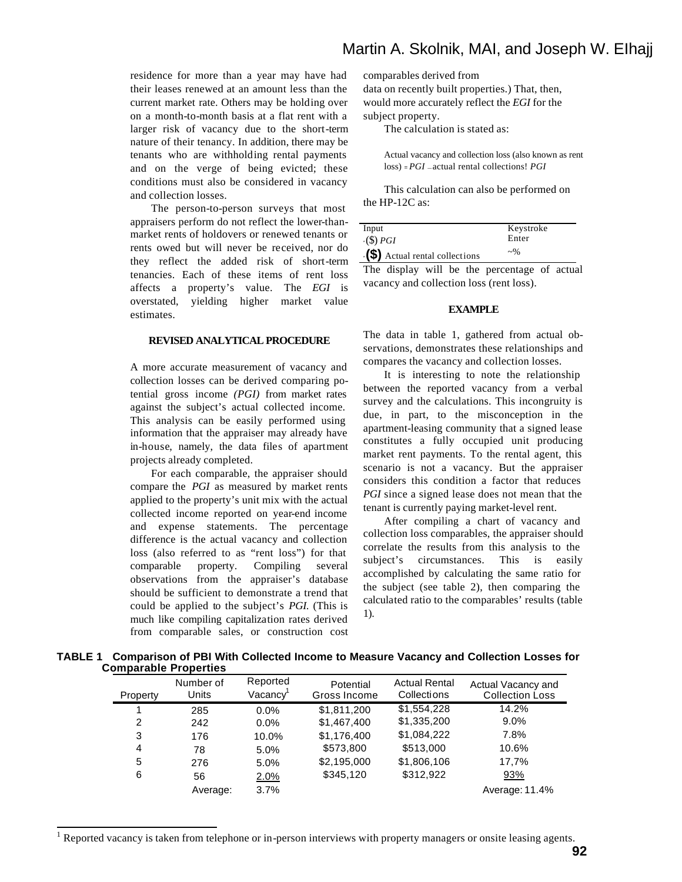residence for more than a year may have had their leases renewed at an amount less than the current market rate. Others may be holding over on a month-to-month basis at a flat rent with a larger risk of vacancy due to the short-term nature of their tenancy. In addition, there may be tenants who are withholding rental payments and on the verge of being evicted; these conditions must also be considered in vacancy and collection losses.

The person-to-person surveys that most appraisers perform do not reflect the lower-thanmarket rents of holdovers or renewed tenants or rents owed but will never be received, nor do they reflect the added risk of short-term tenancies. Each of these items of rent loss affects a property's value. The *EGI* is overstated, yielding higher market value estimates.

## **REVISED ANALYTICAL PROCEDURE**

A more accurate measurement of vacancy and collection losses can be derived comparing potential gross income *(PGI)* from market rates against the subject's actual collected income. This analysis can be easily performed using information that the appraiser may already have in-house, namely, the data files of apartment projects already completed.

For each comparable, the appraiser should compare the *PGI* as measured by market rents applied to the property's unit mix with the actual collected income reported on year-end income and expense statements. The percentage difference is the actual vacancy and collection loss (also referred to as "rent loss") for that comparable property. Compiling several observations from the appraiser's database should be sufficient to demonstrate a trend that could be applied to the subject's *PGI.* (This is much like compiling capitalization rates derived from comparable sales, or construction cost

l

## Martin A. Skolnik, MAI, and Joseph W. EIhajj

comparables derived from

data on recently built properties.) That, then, would more accurately reflect the *EGI* for the subject property.

The calculation is stated as:

Actual vacancy and collection loss (also known as rent loss) = *PGI* — actual rental collections! *PGI*

This calculation can also be performed on the HP-12C as:

| Input                                  | Keystroke  |
|----------------------------------------|------------|
| $\cdot$ (\$) <i>PGI</i>                | Enter      |
| $\cdot$ (\$) Actual rental collections | $\sim\!\%$ |

The display will be the percentage of actual vacancy and collection loss (rent loss).

## **EXAMPLE**

The data in table 1, gathered from actual observations, demonstrates these relationships and compares the vacancy and collection losses.

It is interesting to note the relationship between the reported vacancy from a verbal survey and the calculations. This incongruity is due, in part, to the misconception in the apartment-leasing community that a signed lease constitutes a fully occupied unit producing market rent payments. To the rental agent, this scenario is not a vacancy. But the appraiser considers this condition a factor that reduces *PGI* since a signed lease does not mean that the tenant is currently paying market-level rent.

After compiling a chart of vacancy and collection loss comparables, the appraiser should correlate the results from this analysis to the subject's circumstances. This is easily accomplished by calculating the same ratio for the subject (see table 2), then comparing the calculated ratio to the comparables' results (table 1).

| TABLE 1 Comparison of PBI With Collected Income to Measure Vacancy and Collection Losses for |  |  |  |
|----------------------------------------------------------------------------------------------|--|--|--|
| <b>Comparable Properties</b>                                                                 |  |  |  |

| Property | Number of<br>Units | Reported<br>Vacancy <sup>1</sup> | Potential<br>Gross Income | <b>Actual Rental</b><br>Collections | Actual Vacancy and<br><b>Collection Loss</b> |
|----------|--------------------|----------------------------------|---------------------------|-------------------------------------|----------------------------------------------|
|          | 285                | 0.0%                             | \$1,811,200               | \$1,554,228                         | 14.2%                                        |
| 2        | 242                | $0.0\%$                          | \$1,467,400               | \$1,335,200                         | $9.0\%$                                      |
| 3        | 176                | 10.0%                            | \$1,176,400               | \$1,084,222                         | 7.8%                                         |
| 4        | 78                 | 5.0%                             | \$573,800                 | \$513,000                           | 10.6%                                        |
| 5        | 276                | 5.0%                             | \$2,195,000               | \$1,806,106                         | 17,7%                                        |
| 6        | 56                 | 2.0%                             | \$345,120                 | \$312,922                           | 93%                                          |
|          | Average:           | 3.7%                             |                           |                                     | Average: 11.4%                               |

1 Reported vacancy is taken from telephone or in-person interviews with property managers or onsite leasing agents.